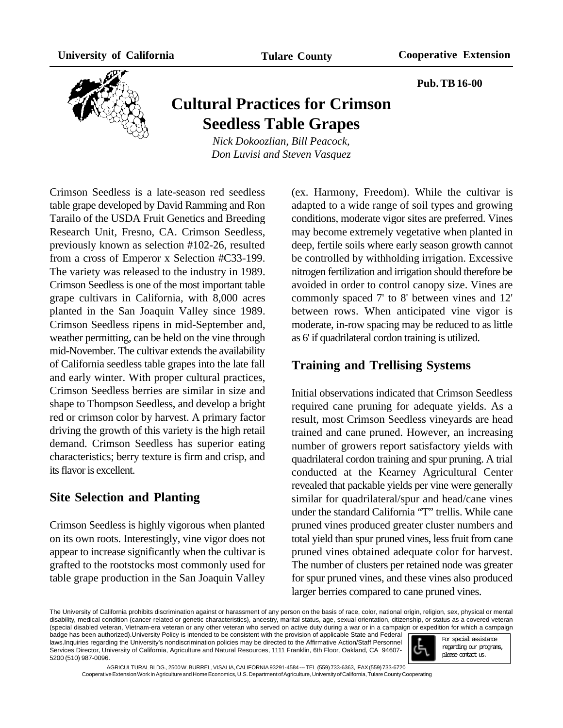**Pub. TB 16-00**



# **Cultural Practices for Crimson Seedless Table Grapes**

*Nick Dokoozlian, Bill Peacock, Don Luvisi and Steven Vasquez*

Crimson Seedless is a late-season red seedless table grape developed by David Ramming and Ron Tarailo of the USDA Fruit Genetics and Breeding Research Unit, Fresno, CA. Crimson Seedless, previously known as selection #102-26, resulted from a cross of Emperor x Selection #C33-199. The variety was released to the industry in 1989. Crimson Seedless is one of the most important table grape cultivars in California, with 8,000 acres planted in the San Joaquin Valley since 1989. Crimson Seedless ripens in mid-September and, weather permitting, can be held on the vine through mid-November. The cultivar extends the availability of California seedless table grapes into the late fall and early winter. With proper cultural practices, Crimson Seedless berries are similar in size and shape to Thompson Seedless, and develop a bright red or crimson color by harvest. A primary factor driving the growth of this variety is the high retail demand. Crimson Seedless has superior eating characteristics; berry texture is firm and crisp, and its flavor is excellent.

# **Site Selection and Planting**

Crimson Seedless is highly vigorous when planted on its own roots. Interestingly, vine vigor does not appear to increase significantly when the cultivar is grafted to the rootstocks most commonly used for table grape production in the San Joaquin Valley

(ex. Harmony, Freedom). While the cultivar is adapted to a wide range of soil types and growing conditions, moderate vigor sites are preferred. Vines may become extremely vegetative when planted in deep, fertile soils where early season growth cannot be controlled by withholding irrigation. Excessive nitrogen fertilization and irrigation should therefore be avoided in order to control canopy size. Vines are commonly spaced 7' to 8' between vines and 12' between rows. When anticipated vine vigor is moderate, in-row spacing may be reduced to as little as 6' if quadrilateral cordon training is utilized.

#### **Training and Trellising Systems**

Initial observations indicated that Crimson Seedless required cane pruning for adequate yields. As a result, most Crimson Seedless vineyards are head trained and cane pruned. However, an increasing number of growers report satisfactory yields with quadrilateral cordon training and spur pruning. A trial conducted at the Kearney Agricultural Center revealed that packable yields per vine were generally similar for quadrilateral/spur and head/cane vines under the standard California "T" trellis. While cane pruned vines produced greater cluster numbers and total yield than spur pruned vines, less fruit from cane pruned vines obtained adequate color for harvest. The number of clusters per retained node was greater for spur pruned vines, and these vines also produced larger berries compared to cane pruned vines.

The University of California prohibits discrimination against or harassment of any person on the basis of race, color, national origin, religion, sex, physical or mental disability, medical condition (cancer-related or genetic characteristics), ancestry, marital status, age, sexual orientation, citizenship, or status as a covered veteran (special disabled veteran, Vietnam-era veteran or any other veteran who served on active duty during a war or in a campaign or expedition for which a campaign badge has been authorized).University Policy is intended to be consistent with the provision of applicable State and Federal

laws.Inquiries regarding the University's nondiscrimination policies may be directed to the Affirmative Action/Staff Personnel Services Director, University of California, Agriculture and Natural Resources, 1111 Franklin, 6th Floor, Oakland, CA 94607- 5200 (510) 987-0096.



For special assistance regarding our programs, please contact us.

AGRICULTURAL BLDG., 2500 W. BURREL, VISALIA, CALIFORNIA 93291-4584 --- TEL (559) 733-6363, FAX (559) 733-6720 Cooperative Extension Work in Agriculture and Home Economics, U.S. Department of Agriculture, University of California, Tulare County Cooperating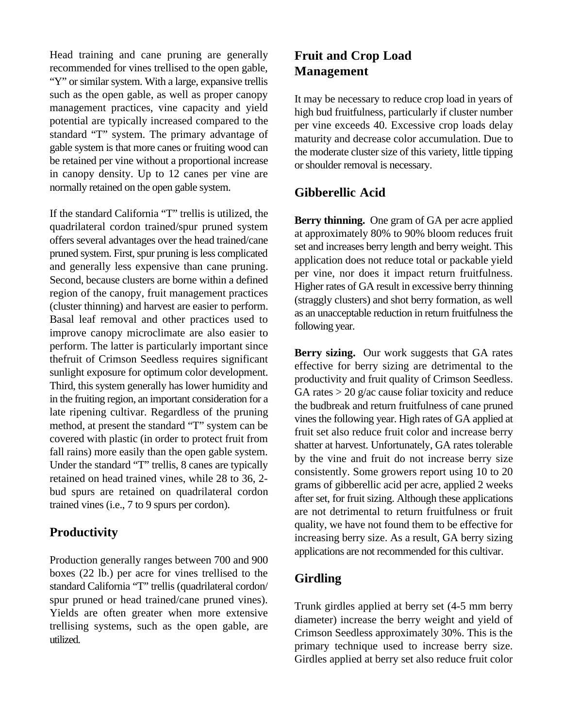Head training and cane pruning are generally recommended for vines trellised to the open gable, "Y" or similar system. With a large, expansive trellis such as the open gable, as well as proper canopy management practices, vine capacity and yield potential are typically increased compared to the standard "T" system. The primary advantage of gable system is that more canes or fruiting wood can be retained per vine without a proportional increase in canopy density. Up to 12 canes per vine are normally retained on the open gable system.

If the standard California "T" trellis is utilized, the quadrilateral cordon trained/spur pruned system offers several advantages over the head trained/cane pruned system. First, spur pruning is less complicated and generally less expensive than cane pruning. Second, because clusters are borne within a defined region of the canopy, fruit management practices (cluster thinning) and harvest are easier to perform. Basal leaf removal and other practices used to improve canopy microclimate are also easier to perform. The latter is particularly important since thefruit of Crimson Seedless requires significant sunlight exposure for optimum color development. Third, this system generally has lower humidity and in the fruiting region, an important consideration for a late ripening cultivar. Regardless of the pruning method, at present the standard "T" system can be covered with plastic (in order to protect fruit from fall rains) more easily than the open gable system. Under the standard "T" trellis, 8 canes are typically retained on head trained vines, while 28 to 36, 2 bud spurs are retained on quadrilateral cordon trained vines (i.e., 7 to 9 spurs per cordon).

# **Productivity**

Production generally ranges between 700 and 900 boxes (22 lb.) per acre for vines trellised to the standard California "T" trellis (quadrilateral cordon/ spur pruned or head trained/cane pruned vines). Yields are often greater when more extensive trellising systems, such as the open gable, are utilized.

# **Fruit and Crop Load Management**

It may be necessary to reduce crop load in years of high bud fruitfulness, particularly if cluster number per vine exceeds 40. Excessive crop loads delay maturity and decrease color accumulation. Due to the moderate cluster size of this variety, little tipping or shoulder removal is necessary.

#### **Gibberellic Acid**

**Berry thinning.** One gram of GA per acre applied at approximately 80% to 90% bloom reduces fruit set and increases berry length and berry weight. This application does not reduce total or packable yield per vine, nor does it impact return fruitfulness. Higher rates of GA result in excessive berry thinning (straggly clusters) and shot berry formation, as well as an unacceptable reduction in return fruitfulness the following year.

**Berry sizing.** Our work suggests that GA rates effective for berry sizing are detrimental to the productivity and fruit quality of Crimson Seedless. GA rates  $>$  20 g/ac cause foliar toxicity and reduce the budbreak and return fruitfulness of cane pruned vines the following year. High rates of GA applied at fruit set also reduce fruit color and increase berry shatter at harvest. Unfortunately, GA rates tolerable by the vine and fruit do not increase berry size consistently. Some growers report using 10 to 20 grams of gibberellic acid per acre, applied 2 weeks after set, for fruit sizing. Although these applications are not detrimental to return fruitfulness or fruit quality, we have not found them to be effective for increasing berry size. As a result, GA berry sizing applications are not recommended for this cultivar.

# **Girdling**

Trunk girdles applied at berry set (4-5 mm berry diameter) increase the berry weight and yield of Crimson Seedless approximately 30%. This is the primary technique used to increase berry size. Girdles applied at berry set also reduce fruit color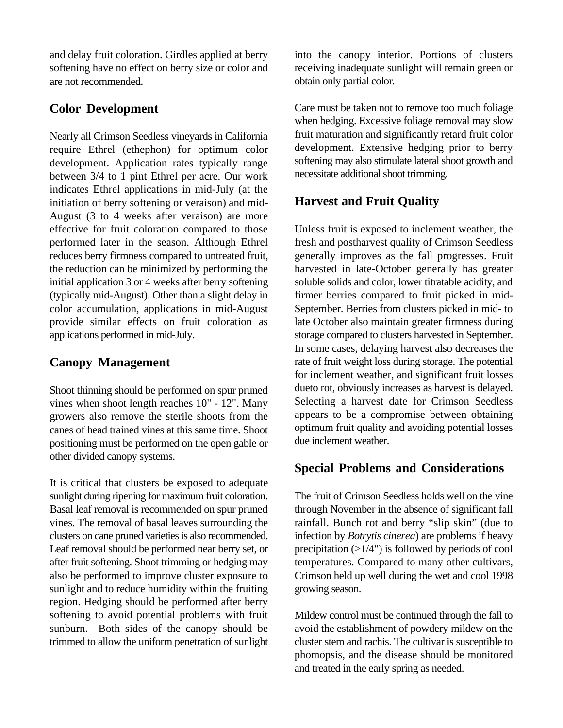and delay fruit coloration. Girdles applied at berry softening have no effect on berry size or color and are not recommended.

### **Color Development**

Nearly all Crimson Seedless vineyards in California require Ethrel (ethephon) for optimum color development. Application rates typically range between 3/4 to 1 pint Ethrel per acre. Our work indicates Ethrel applications in mid-July (at the initiation of berry softening or veraison) and mid-August (3 to 4 weeks after veraison) are more effective for fruit coloration compared to those performed later in the season. Although Ethrel reduces berry firmness compared to untreated fruit, the reduction can be minimized by performing the initial application 3 or 4 weeks after berry softening (typically mid-August). Other than a slight delay in color accumulation, applications in mid-August provide similar effects on fruit coloration as applications performed in mid-July.

# **Canopy Management**

Shoot thinning should be performed on spur pruned vines when shoot length reaches 10" - 12". Many growers also remove the sterile shoots from the canes of head trained vines at this same time. Shoot positioning must be performed on the open gable or other divided canopy systems.

It is critical that clusters be exposed to adequate sunlight during ripening for maximum fruit coloration. Basal leaf removal is recommended on spur pruned vines. The removal of basal leaves surrounding the clusters on cane pruned varieties is also recommended. Leaf removal should be performed near berry set, or after fruit softening. Shoot trimming or hedging may also be performed to improve cluster exposure to sunlight and to reduce humidity within the fruiting region. Hedging should be performed after berry softening to avoid potential problems with fruit sunburn. Both sides of the canopy should be trimmed to allow the uniform penetration of sunlight into the canopy interior. Portions of clusters receiving inadequate sunlight will remain green or obtain only partial color.

Care must be taken not to remove too much foliage when hedging. Excessive foliage removal may slow fruit maturation and significantly retard fruit color development. Extensive hedging prior to berry softening may also stimulate lateral shoot growth and necessitate additional shoot trimming.

# **Harvest and Fruit Quality**

Unless fruit is exposed to inclement weather, the fresh and postharvest quality of Crimson Seedless generally improves as the fall progresses. Fruit harvested in late-October generally has greater soluble solids and color, lower titratable acidity, and firmer berries compared to fruit picked in mid-September. Berries from clusters picked in mid- to late October also maintain greater firmness during storage compared to clusters harvested in September. In some cases, delaying harvest also decreases the rate of fruit weight loss during storage. The potential for inclement weather, and significant fruit losses dueto rot, obviously increases as harvest is delayed. Selecting a harvest date for Crimson Seedless appears to be a compromise between obtaining optimum fruit quality and avoiding potential losses due inclement weather.

# **Special Problems and Considerations**

The fruit of Crimson Seedless holds well on the vine through November in the absence of significant fall rainfall. Bunch rot and berry "slip skin" (due to infection by *Botrytis cinerea*) are problems if heavy precipitation  $(>1/4")$  is followed by periods of cool temperatures. Compared to many other cultivars, Crimson held up well during the wet and cool 1998 growing season.

Mildew control must be continued through the fall to avoid the establishment of powdery mildew on the cluster stem and rachis. The cultivar is susceptible to phomopsis, and the disease should be monitored and treated in the early spring as needed.